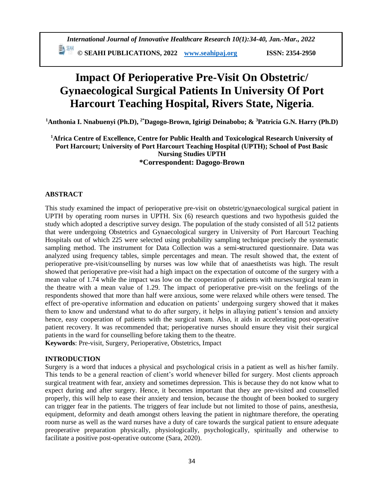**ED** SEAHI PUBLICATIONS, 2022 *[www.seahipaj.org](http://www.seahipaj.org/)* ISSN: 2354-2950

# **Impact Of Perioperative Pre-Visit On Obstetric/ Gynaecological Surgical Patients In University Of Port Harcourt Teaching Hospital, Rivers State, Nigeria.**

**<sup>1</sup>Anthonia I. Nnabuenyi (Ph.D), 2\*Dagogo-Brown, Igirigi Deinabobo; & <sup>3</sup>Patricia G.N. Harry (Ph.D)**

**<sup>1</sup>Africa Centre of Excellence, Centre for Public Health and Toxicological Research University of Port Harcourt; University of Port Harcourt Teaching Hospital (UPTH); School of Post Basic Nursing Studies UPTH \*Correspondent: Dagogo-Brown**

#### **ABSTRACT**

This study examined the impact of perioperative pre-visit on obstetric/gynaecological surgical patient in UPTH by operating room nurses in UPTH. Six (6) research questions and two hypothesis guided the study which adopted a descriptive survey design. The population of the study consisted of all 512 patients that were undergoing Obstetrics and Gynaecological surgery in University of Port Harcourt Teaching Hospitals out of which 225 were selected using probability sampling technique precisely the systematic sampling method. The instrument for Data Collection was a semi**-s**tructured questionnaire. Data was analyzed using frequency tables, simple percentages and mean. The result showed that, the extent of perioperative pre-visit/counselling by nurses was low while that of anaesthetists was high. The result showed that perioperative pre-visit had a high impact on the expectation of outcome of the surgery with a mean value of 1.74 while the impact was low on the cooperation of patients with nurses/surgical team in the theatre with a mean value of 1.29. The impact of perioperative pre-visit on the feelings of the respondents showed that more than half were anxious, some were relaxed while others were tensed. The effect of pre-operative information and education on patients' undergoing surgery showed that it makes them to know and understand what to do after surgery, it helps in allaying patient's tension and anxiety hence, easy cooperation of patients with the surgical team. Also, it aids in accelerating post-operative patient recovery. It was recommended that; perioperative nurses should ensure they visit their surgical patients in the ward for counselling before taking them to the theatre.

**Keywords**: Pre-visit, Surgery, Perioperative, Obstetrics, Impact

#### **INTRODUCTION**

Surgery is a word that induces a physical and psychological crisis in a patient as well as his/her family. This tends to be a general reaction of client's world whenever billed for surgery. Most clients approach surgical treatment with fear, anxiety and sometimes depression. This is because they do not know what to expect during and after surgery. Hence, it becomes important that they are pre-visited and counselled properly, this will help to ease their anxiety and tension, because the thought of been booked to surgery can trigger fear in the patients. The triggers of fear include but not limited to those of pains, anesthesia, equipment, deformity and death amongst others leaving the patient in nightmare therefore, the operating room nurse as well as the ward nurses have a duty of care towards the surgical patient to ensure adequate preoperative preparation physically, physiologically, psychologically, spiritually and otherwise to facilitate a positive post-operative outcome (Sara, 2020).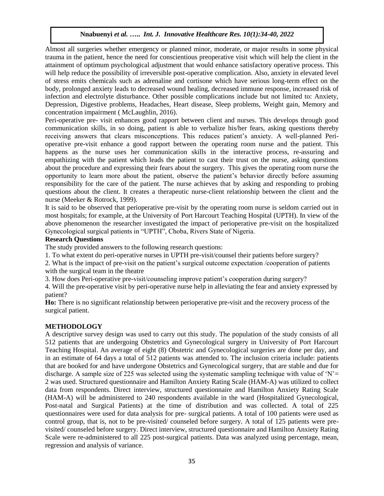Almost all surgeries whether emergency or planned minor, moderate, or major results in some physical trauma in the patient, hence the need for conscientious preoperative visit which will help the client in the attainment of optimum psychological adjustment that would enhance satisfactory operative process. This will help reduce the possibility of irreversible post-operative complication. Also, anxiety in elevated level of stress emits chemicals such as adrenaline and cortisone which have serious long-term effect on the body, prolonged anxiety leads to decreased wound healing, decreased immune response, increased risk of infection and electrolyte disturbance. Other possible complications include but not limited to: Anxiety, Depression, Digestive problems, Headaches, Heart disease, Sleep problems, Weight gain, Memory and concentration impairment ( McLaughlin, 2016).

Peri-operative pre- visit enhances good rapport between client and nurses. This develops through good communication skills, in so doing, patient is able to verbalize his/her fears, asking questions thereby receiving answers that clears misconceptions. This reduces patient's anxiety. A well-planned Perioperative pre-visit enhance a good rapport between the operating room nurse and the patient. This happens as the nurse uses her communication skills in the interactive process, re-assuring and empathizing with the patient which leads the patient to cast their trust on the nurse, asking questions about the procedure and expressing their fears about the surgery. This gives the operating room nurse the opportunity to learn more about the patient, observe the patient's behavior directly before assuming responsibility for the care of the patient. The nurse achieves that by asking and responding to probing questions about the client. It creates a therapeutic nurse-client relationship between the client and the nurse (Meeker & Rotrock, 1999).

It is said to be observed that perioperative pre-visit by the operating room nurse is seldom carried out in most hospitals; for example, at the University of Port Harcourt Teaching Hospital (UPTH). In view of the above phenomenon the researcher investigated the impact of perioperative pre-visit on the hospitalized Gynecological surgical patients in "UPTH", Choba, Rivers State of Nigeria.

#### **Research Questions**

The study provided answers to the following research questions:

1. To what extent do peri-operative nurses in UPTH pre-visit/counsel their patients before surgery?

2. What is the impact of pre-visit on the patient's surgical outcome expectation /cooperation of patients with the surgical team in the theatre

3. How does Peri-operative pre-visit/counseling improve patient's cooperation during surgery?

4. Will the pre-operative visit by peri-operative nurse help in alleviating the fear and anxiety expressed by patient?

**Ho:** There is no significant relationship between perioperative pre-visit and the recovery process of the surgical patient.

# **METHODOLOGY**

A descriptive survey design was used to carry out this study. The population of the study consists of all 512 patients that are undergoing Obstetrics and Gynecological surgery in University of Port Harcourt Teaching Hospital. An average of eight (8) Obstetric and Gynecological surgeries are done per day, and in an estimate of 64 days a total of 512 patients was attended to. The inclusion criteria include: patients that are booked for and have undergone Obstetrics and Gynecological surgery, that are stable and due for discharge. A sample size of 225 was selected using the systematic sampling technique with value of 'N'= 2 was used. Structured questionnaire and Hamilton Anxiety Rating Scale (HAM-A) was utilized to collect data from respondents. Direct interview, structured questionnaire and Hamilton Anxiety Rating Scale (HAM-A) will be administered to 240 respondents available in the ward (Hospitalized Gynecological, Post-natal and Surgical Patients) at the time of distribution and was collected. A total of 225 questionnaires were used for data analysis for pre- surgical patients. A total of 100 patients were used as control group, that is, not to be pre-visited/ counseled before surgery. A total of 125 patients were previsited/ counseled before surgery. Direct interview, structured questionnaire and Hamilton Anxiety Rating Scale were re-administered to all 225 post-surgical patients. Data was analyzed using percentage, mean, regression and analysis of variance.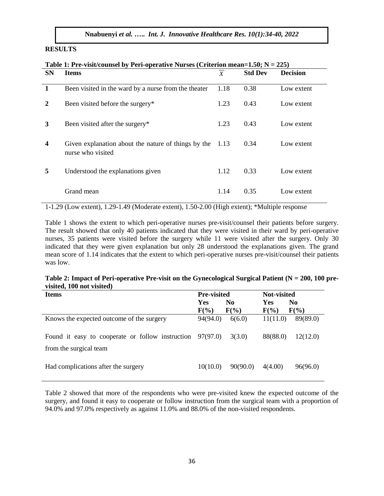#### **RESULTS**

| <b>SN</b> | <b>Items</b>                                                             | $\boldsymbol{X}$ | <b>Std Dev</b> | <b>Decision</b> |
|-----------|--------------------------------------------------------------------------|------------------|----------------|-----------------|
| 1         | Been visited in the ward by a nurse from the theater                     | 1.18             | 0.38           | Low extent      |
| 2         | Been visited before the surgery*                                         | 1.23             | 0.43           | Low extent      |
| 3         | Been visited after the surgery*                                          | 1.23             | 0.43           | Low extent      |
| 4         | Given explanation about the nature of things by the<br>nurse who visited | 1.13             | 0.34           | Low extent      |
| 5         | Understood the explanations given                                        | 1.12             | 0.33           | Low extent      |
|           | Grand mean                                                               | 1.14             | 0.35           | Low extent      |

# **Table 1: Pre-visit/counsel by Peri-operative Nurses (Criterion mean=1.50; N = 225)**

1-1.29 (Low extent), 1.29-1.49 (Moderate extent), 1.50-2.00 (High extent); \*Multiple response

Table 1 shows the extent to which peri-operative nurses pre-visit/counsel their patients before surgery. The result showed that only 40 patients indicated that they were visited in their ward by peri-operative nurses, 35 patients were visited before the surgery while 11 were visited after the surgery. Only 30 indicated that they were given explanation but only 28 understood the explanations given. The grand mean score of 1.14 indicates that the extent to which peri-operative nurses pre-visit/counsel their patients was low.

#### **Table 2: Impact of Peri-operative Pre-visit on the Gynecological Surgical Patient (N = 200, 100 previsited, 100 not visited)**

| <b>Items</b>                                                | <b>Pre-visited</b> |                | <b>Not-visited</b> |                |
|-------------------------------------------------------------|--------------------|----------------|--------------------|----------------|
|                                                             | <b>Yes</b>         | N <sub>0</sub> | Yes                | N <sub>0</sub> |
|                                                             | $F(\%)$            | $F(\%)$        | $F(\%)$            | $F(\%)$        |
| Knows the expected outcome of the surgery                   | 94(94.0)           | 6(6.0)         | 11(11.0)           | 89(89.0)       |
| Found it easy to cooperate or follow instruction $97(97.0)$ |                    | 3(3.0)         | 88(88.0)           | 12(12.0)       |
| from the surgical team                                      |                    |                |                    |                |
| Had complications after the surgery                         | 10(10.0)           | 90(90.0)       | 4(4.00)            | 96(96.0)       |

Table 2 showed that more of the respondents who were pre-visited knew the expected outcome of the surgery, and found it easy to cooperate or follow instruction from the surgical team with a proportion of 94.0% and 97.0% respectively as against 11.0% and 88.0% of the non-visited respondents.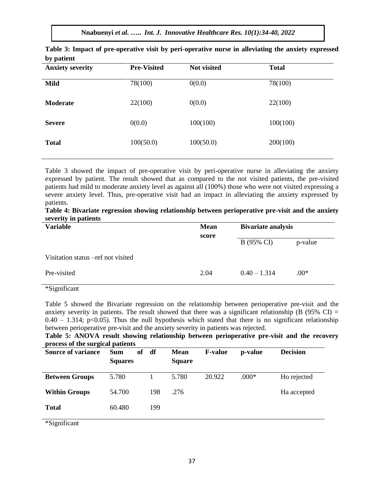**Nnabuenyi** *et al.* **…..** *Int. J. Innovative Healthcare Res. 10(1):34-40, 2022*

| $\mathbf{v}$ .<br><b>Anxiety severity</b> | <b>Pre-Visited</b> | Not visited | <b>Total</b> |
|-------------------------------------------|--------------------|-------------|--------------|
| <b>Mild</b>                               | 78(100)            | 0(0.0)      | 78(100)      |
| <b>Moderate</b>                           | 22(100)            | 0(0.0)      | 22(100)      |
| <b>Severe</b>                             | 0(0.0)             | 100(100)    | 100(100)     |
| <b>Total</b>                              | 100(50.0)          | 100(50.0)   | 200(100)     |
|                                           |                    |             |              |

| Table 3: Impact of pre-operative visit by peri-operative nurse in alleviating the anxiety expressed |  |  |
|-----------------------------------------------------------------------------------------------------|--|--|
| by patient                                                                                          |  |  |

Table 3 showed the impact of pre-operative visit by peri-operative nurse in alleviating the anxiety expressed by patient. The result showed that as compared to the not visited patients, the pre-visited patients had mild to moderate anxiety level as against all (100%) those who were not visited expressing a severe anxiety level. Thus, pre-operative visit had an impact in alleviating the anxiety expressed by patients.

| Table 4: Bivariate regression showing relationship between perioperative pre-visit and the anxiety |  |  |
|----------------------------------------------------------------------------------------------------|--|--|
| severity in patients                                                                               |  |  |

| <b>Variable</b>                     | <b>Mean</b> | <b>Bivariate analysis</b> |         |  |
|-------------------------------------|-------------|---------------------------|---------|--|
|                                     | score       | B (95% CI)                | p-value |  |
| Visitation status – ref not visited |             |                           |         |  |
| Pre-visited                         | 2.04        | $0.40 - 1.314$            | $.00*$  |  |
| *Significant                        |             |                           |         |  |

Table 5 showed the Bivariate regression on the relationship between perioperative pre-visit and the anxiety severity in patients. The result showed that there was a significant relationship (B (95% CI) =  $0.40 - 1.314$ ; p<0.05). Thus the null hypothesis which stated that there is no significant relationship between perioperative pre-visit and the anxiety severity in patients was rejected.

**Table 5: ANOVA result showing relationship between perioperative pre-visit and the recovery process of the surgical patients** 

| <b>Source of variance</b> | of<br><b>Sum</b><br><b>Squares</b> | df  | <b>Mean</b><br><b>Square</b> | <b>F-value</b> | p-value | <b>Decision</b> |
|---------------------------|------------------------------------|-----|------------------------------|----------------|---------|-----------------|
| <b>Between Groups</b>     | 5.780                              |     | 5.780                        | 20.922         | $.000*$ | Ho rejected     |
| <b>Within Groups</b>      | 54.700                             | 198 | .276                         |                |         | Ha accepted     |
| <b>Total</b>              | 60.480                             | 199 |                              |                |         |                 |

\*Significant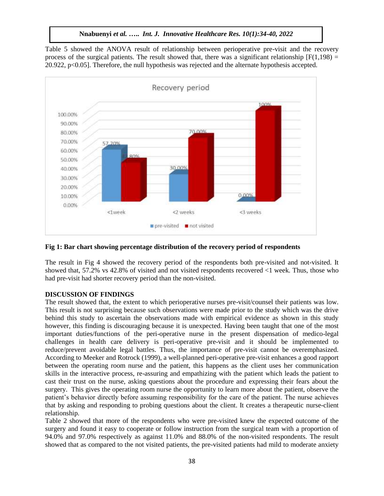Table 5 showed the ANOVA result of relationship between perioperative pre-visit and the recovery process of the surgical patients. The result showed that, there was a significant relationship  $[F(1,198) =$ 20.922, p<0.05]. Therefore, the null hypothesis was rejected and the alternate hypothesis accepted.



#### **Fig 1: Bar chart showing percentage distribution of the recovery period of respondents**

The result in Fig 4 showed the recovery period of the respondents both pre-visited and not-visited. It showed that, 57.2% vs 42.8% of visited and not visited respondents recovered <1 week. Thus, those who had pre-visit had shorter recovery period than the non-visited.

#### **DISCUSSION OF FINDINGS**

The result showed that, the extent to which perioperative nurses pre-visit/counsel their patients was low. This result is not surprising because such observations were made prior to the study which was the drive behind this study to ascertain the observations made with empirical evidence as shown in this study however, this finding is discouraging because it is unexpected. Having been taught that one of the most important duties/functions of the peri-operative nurse in the present dispensation of medico-legal challenges in health care delivery is peri-operative pre-visit and it should be implemented to reduce/prevent avoidable legal battles. Thus, the importance of pre-visit cannot be overemphasized. According to Meeker and Rotrock (1999), a well-planned peri-operative pre-visit enhances a good rapport between the operating room nurse and the patient, this happens as the client uses her communication skills in the interactive process, re-assuring and empathizing with the patient which leads the patient to cast their trust on the nurse, asking questions about the procedure and expressing their fears about the surgery. This gives the operating room nurse the opportunity to learn more about the patient, observe the patient's behavior directly before assuming responsibility for the care of the patient. The nurse achieves that by asking and responding to probing questions about the client. It creates a therapeutic nurse-client relationship.

Table 2 showed that more of the respondents who were pre-visited knew the expected outcome of the surgery and found it easy to cooperate or follow instruction from the surgical team with a proportion of 94.0% and 97.0% respectively as against 11.0% and 88.0% of the non-visited respondents. The result showed that as compared to the not visited patients, the pre-visited patients had mild to moderate anxiety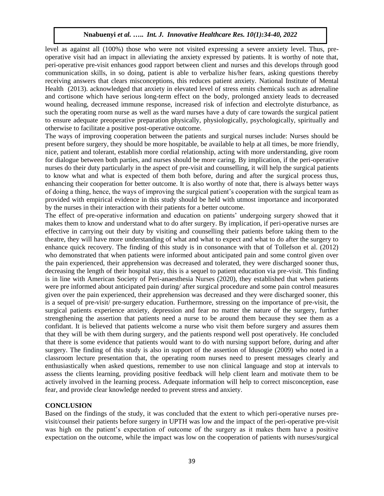level as against all (100%) those who were not visited expressing a severe anxiety level. Thus, preoperative visit had an impact in alleviating the anxiety expressed by patients. It is worthy of note that, peri-operative pre-visit enhances good rapport between client and nurses and this develops through good communication skills, in so doing, patient is able to verbalize his/her fears, asking questions thereby receiving answers that clears misconceptions, this reduces patient anxiety. National Institute of Mental Health (2013). acknowledged that anxiety in elevated level of stress emits chemicals such as adrenaline and cortisone which have serious long-term effect on the body, prolonged anxiety leads to decreased wound healing, decreased immune response, increased risk of infection and electrolyte disturbance, as such the operating room nurse as well as the ward nurses have a duty of care towards the surgical patient to ensure adequate preoperative preparation physically, physiologically, psychologically, spiritually and otherwise to facilitate a positive post-operative outcome.

The ways of improving cooperation between the patients and surgical nurses include: Nurses should be present before surgery, they should be more hospitable, be available to help at all times, be more friendly, nice, patient and tolerant, establish more cordial relationship, acting with more understanding, give room for dialogue between both parties, and nurses should be more caring. By implication, if the peri-operative nurses do their duty particularly in the aspect of pre-visit and counselling, it will help the surgical patients to know what and what is expected of them both before, during and after the surgical process thus, enhancing their cooperation for better outcome. It is also worthy of note that, there is always better ways of doing a thing, hence, the ways of improving the surgical patient's cooperation with the surgical team as provided with empirical evidence in this study should be held with utmost importance and incorporated by the nurses in their interaction with their patients for a better outcome.

The effect of pre-operative information and education on patients' undergoing surgery showed that it makes them to know and understand what to do after surgery. By implication, if peri-operative nurses are effective in carrying out their duty by visiting and counselling their patients before taking them to the theatre, they will have more understanding of what and what to expect and what to do after the surgery to enhance quick recovery. The finding of this study is in consonance with that of Tollefson et al. (2012) who demonstrated that when patients were informed about anticipated pain and some control given over the pain experienced, their apprehension was decreased and tolerated, they were discharged sooner thus, decreasing the length of their hospital stay, this is a sequel to patient education via pre-visit. This finding is in line with American Society of Peri-anaesthesia Nurses (2020), they established that when patients were pre informed about anticipated pain during/ after surgical procedure and some pain control measures given over the pain experienced, their apprehension was decreased and they were discharged sooner, this is a sequel of pre-visit/ pre-surgery education. Furthermore, stressing on the importance of pre-visit, the surgical patients experience anxiety, depression and fear no matter the nature of the surgery, further strengthening the assertion that patients need a nurse to be around them because they see them as a confidant. It is believed that patients welcome a nurse who visit them before surgery and assures them that they will be with them during surgery, and the patients respond well post operatively. He concluded that there is some evidence that patients would want to do with nursing support before, during and after surgery. The finding of this study is also in support of the assertion of Idusogie (2009) who noted in a classroom lecture presentation that, the operating room nurses need to present messages clearly and enthusiastically when asked questions, remember to use non clinical language and stop at intervals to assess the clients learning, providing positive feedback will help client learn and motivate them to be actively involved in the learning process. Adequate information will help to correct misconception, ease fear, and provide clear knowledge needed to prevent stress and anxiety.

#### **CONCLUSION**

Based on the findings of the study, it was concluded that the extent to which peri-operative nurses previsit/counsel their patients before surgery in UPTH was low and the impact of the peri-operative pre-visit was high on the patient's expectation of outcome of the surgery as it makes them have a positive expectation on the outcome, while the impact was low on the cooperation of patients with nurses/surgical